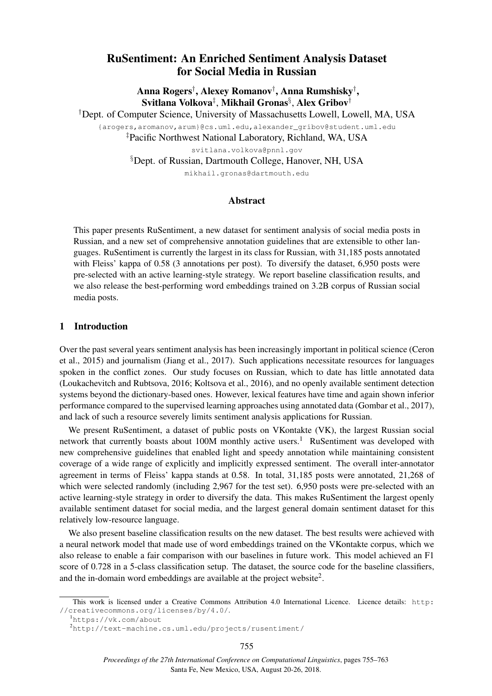# RuSentiment: An Enriched Sentiment Analysis Dataset for Social Media in Russian

Anna Rogers† , Alexey Romanov† , Anna Rumshisky† , Svitlana Volkova $^\ddag,$  Mikhail Gronas $^\S,$  Alex Gribov $^\dagger$ 

†Dept. of Computer Science, University of Massachusetts Lowell, Lowell, MA, USA {arogers,aromanov,arum}@cs.uml.edu,alexander\_gribov@student.uml.edu ‡Pacific Northwest National Laboratory, Richland, WA, USA svitlana.volkova@pnnl.gov §Dept. of Russian, Dartmouth College, Hanover, NH, USA

mikhail.gronas@dartmouth.edu

# Abstract

This paper presents RuSentiment, a new dataset for sentiment analysis of social media posts in Russian, and a new set of comprehensive annotation guidelines that are extensible to other languages. RuSentiment is currently the largest in its class for Russian, with 31,185 posts annotated with Fleiss' kappa of 0.58 (3 annotations per post). To diversify the dataset, 6,950 posts were pre-selected with an active learning-style strategy. We report baseline classification results, and we also release the best-performing word embeddings trained on 3.2B corpus of Russian social media posts.

# 1 Introduction

Over the past several years sentiment analysis has been increasingly important in political science (Ceron et al., 2015) and journalism (Jiang et al., 2017). Such applications necessitate resources for languages spoken in the conflict zones. Our study focuses on Russian, which to date has little annotated data (Loukachevitch and Rubtsova, 2016; Koltsova et al., 2016), and no openly available sentiment detection systems beyond the dictionary-based ones. However, lexical features have time and again shown inferior performance compared to the supervised learning approaches using annotated data (Gombar et al., 2017), and lack of such a resource severely limits sentiment analysis applications for Russian.

We present RuSentiment, a dataset of public posts on VKontakte (VK), the largest Russian social network that currently boasts about 100M monthly active users.<sup>1</sup> RuSentiment was developed with new comprehensive guidelines that enabled light and speedy annotation while maintaining consistent coverage of a wide range of explicitly and implicitly expressed sentiment. The overall inter-annotator agreement in terms of Fleiss' kappa stands at 0.58. In total, 31,185 posts were annotated, 21,268 of which were selected randomly (including 2,967 for the test set). 6,950 posts were pre-selected with an active learning-style strategy in order to diversify the data. This makes RuSentiment the largest openly available sentiment dataset for social media, and the largest general domain sentiment dataset for this relatively low-resource language.

We also present baseline classification results on the new dataset. The best results were achieved with a neural network model that made use of word embeddings trained on the VKontakte corpus, which we also release to enable a fair comparison with our baselines in future work. This model achieved an F1 score of 0.728 in a 5-class classification setup. The dataset, the source code for the baseline classifiers, and the in-domain word embeddings are available at the project website<sup>2</sup>.

This work is licensed under a Creative Commons Attribution 4.0 International Licence. Licence details: http: //creativecommons.org/licenses/by/4.0/.

<sup>1</sup>https://vk.com/about

<sup>2</sup>http://text-machine.cs.uml.edu/projects/rusentiment/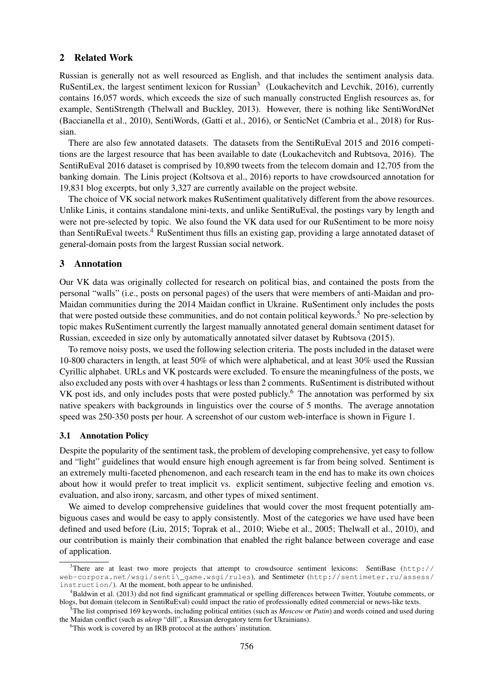### 2 Related Work

Russian is generally not as well resourced as English, and that includes the sentiment analysis data. RuSentiLex, the largest sentiment lexicon for Russian<sup>3</sup> (Loukachevitch and Levchik, 2016), currently contains 16,057 words, which exceeds the size of such manually constructed English resources as, for example, SentiStrength (Thelwall and Buckley, 2013). However, there is nothing like SentiWordNet (Baccianella et al., 2010), SentiWords, (Gatti et al., 2016), or SenticNet (Cambria et al., 2018) for Russian.

There are also few annotated datasets. The datasets from the SentiRuEval 2015 and 2016 competitions are the largest resource that has been available to date (Loukachevitch and Rubtsova, 2016). The SentiRuEval 2016 dataset is comprised by 10,890 tweets from the telecom domain and 12,705 from the banking domain. The Linis project (Koltsova et al., 2016) reports to have crowdsourced annotation for 19,831 blog excerpts, but only 3,327 are currently available on the project website.

The choice of VK social network makes RuSentiment qualitatively different from the above resources. Unlike Linis, it contains standalone mini-texts, and unlike SentiRuEval, the postings vary by length and were not pre-selected by topic. We also found the VK data used for our RuSentiment to be more noisy than SentiRuEval tweets.<sup>4</sup> RuSentiment thus fills an existing gap, providing a large annotated dataset of general-domain posts from the largest Russian social network.

## 3 Annotation

Our VK data was originally collected for research on political bias, and contained the posts from the personal "walls" (i.e., posts on personal pages) of the users that were members of anti-Maidan and pro-Maidan communities during the 2014 Maidan conflict in Ukraine. RuSentiment only includes the posts that were posted outside these communities, and do not contain political keywords.<sup>5</sup> No pre-selection by topic makes RuSentiment currently the largest manually annotated general domain sentiment dataset for Russian, exceeded in size only by automatically annotated silver dataset by Rubtsova (2015).

To remove noisy posts, we used the following selection criteria. The posts included in the dataset were 10-800 characters in length, at least 50% of which were alphabetical, and at least 30% used the Russian Cyrillic alphabet. URLs and VK postcards were excluded. To ensure the meaningfulness of the posts, we also excluded any posts with over 4 hashtags or less than 2 comments. RuSentiment is distributed without VK post ids, and only includes posts that were posted publicly.<sup>6</sup> The annotation was performed by six native speakers with backgrounds in linguistics over the course of 5 months. The average annotation speed was 250-350 posts per hour. A screenshot of our custom web-interface is shown in Figure 1.

### 3.1 Annotation Policy

Despite the popularity of the sentiment task, the problem of developing comprehensive, yet easy to follow and "light" guidelines that would ensure high enough agreement is far from being solved. Sentiment is an extremely multi-faceted phenomenon, and each research team in the end has to make its own choices about how it would prefer to treat implicit vs. explicit sentiment, subjective feeling and emotion vs. evaluation, and also irony, sarcasm, and other types of mixed sentiment.

We aimed to develop comprehensive guidelines that would cover the most frequent potentially ambiguous cases and would be easy to apply consistently. Most of the categories we have used have been defined and used before (Liu, 2015; Toprak et al., 2010; Wiebe et al., 2005; Thelwall et al., 2010), and our contribution is mainly their combination that enabled the right balance between coverage and ease of application.

 $3$ There are at least two more projects that attempt to crowdsource sentiment lexicons: SentiBase (http:// web-corpora.net/wsgi/senti\\_game.wsgi/rules), and Sentimeter (http://sentimeter.ru/assess/ instruction/). At the moment, both appear to be unfinished.

<sup>4</sup>Baldwin et al. (2013) did not find significant grammatical or spelling differences between Twitter, Youtube comments, or blogs, but domain (telecom in SentiRuEval) could impact the ratio of professionally edited commercial or news-like texts.

<sup>5</sup>The list comprised 169 keywords, including political entities (such as *Moscow* or *Putin*) and words coined and used during the Maidan conflict (such as *ukrop* "dill", a Russian derogatory term for Ukrainians).

<sup>&</sup>lt;sup>6</sup>This work is covered by an IRB protocol at the authors' institution.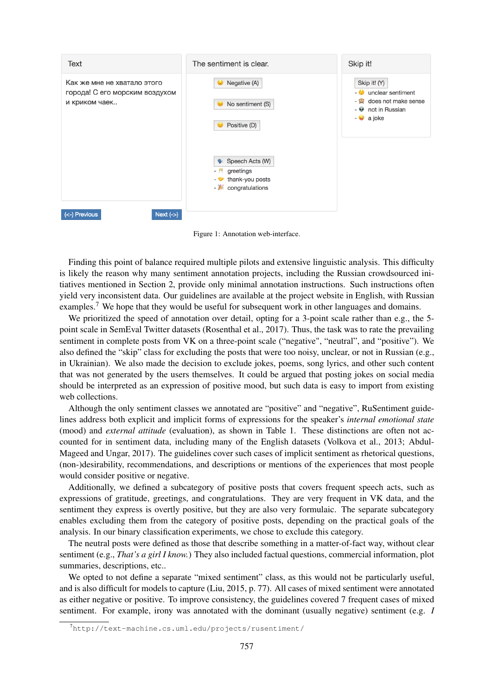

Figure 1: Annotation web-interface.

Finding this point of balance required multiple pilots and extensive linguistic analysis. This difficulty is likely the reason why many sentiment annotation projects, including the Russian crowdsourced initiatives mentioned in Section 2, provide only minimal annotation instructions. Such instructions often yield very inconsistent data. Our guidelines are available at the project website in English, with Russian examples.<sup>7</sup> We hope that they would be useful for subsequent work in other languages and domains.

We prioritized the speed of annotation over detail, opting for a 3-point scale rather than e.g., the 5point scale in SemEval Twitter datasets (Rosenthal et al., 2017). Thus, the task was to rate the prevailing sentiment in complete posts from VK on a three-point scale ("negative", "neutral", and "positive"). We also defined the "skip" class for excluding the posts that were too noisy, unclear, or not in Russian (e.g., in Ukrainian). We also made the decision to exclude jokes, poems, song lyrics, and other such content that was not generated by the users themselves. It could be argued that posting jokes on social media should be interpreted as an expression of positive mood, but such data is easy to import from existing web collections.

Although the only sentiment classes we annotated are "positive" and "negative", RuSentiment guidelines address both explicit and implicit forms of expressions for the speaker's *internal emotional state* (mood) and *external attitude* (evaluation), as shown in Table 1. These distinctions are often not accounted for in sentiment data, including many of the English datasets (Volkova et al., 2013; Abdul-Mageed and Ungar, 2017). The guidelines cover such cases of implicit sentiment as rhetorical questions, (non-)desirability, recommendations, and descriptions or mentions of the experiences that most people would consider positive or negative.

Additionally, we defined a subcategory of positive posts that covers frequent speech acts, such as expressions of gratitude, greetings, and congratulations. They are very frequent in VK data, and the sentiment they express is overtly positive, but they are also very formulaic. The separate subcategory enables excluding them from the category of positive posts, depending on the practical goals of the analysis. In our binary classification experiments, we chose to exclude this category.

The neutral posts were defined as those that describe something in a matter-of-fact way, without clear sentiment (e.g., *That's a girl I know.*) They also included factual questions, commercial information, plot summaries, descriptions, etc..

We opted to not define a separate "mixed sentiment" class, as this would not be particularly useful, and is also difficult for models to capture (Liu, 2015, p. 77). All cases of mixed sentiment were annotated as either negative or positive. To improve consistency, the guidelines covered 7 frequent cases of mixed sentiment. For example, irony was annotated with the dominant (usually negative) sentiment (e.g. *I*

<sup>7</sup>http://text-machine.cs.uml.edu/projects/rusentiment/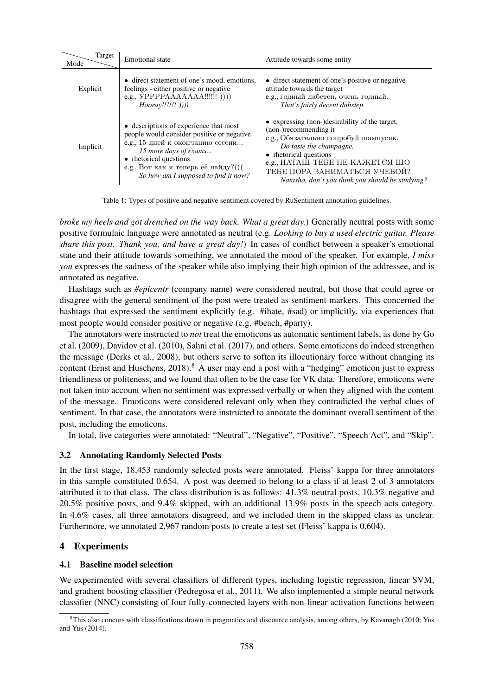| Target<br>Mode | <b>Emotional</b> state                                                                                                                                                                                                                                     | Attitude towards some entity                                                                                                                                                                                                                                                               |
|----------------|------------------------------------------------------------------------------------------------------------------------------------------------------------------------------------------------------------------------------------------------------------|--------------------------------------------------------------------------------------------------------------------------------------------------------------------------------------------------------------------------------------------------------------------------------------------|
| Explicit       | • direct statement of one's mood, emotions,<br>feelings - either positive or negative<br>$Hoorav!!!!!!$ (1))                                                                                                                                               | • direct statement of one's positive or negative<br>attitude towards the target<br>е.g., годный дабстеп, очень годный.<br>That's fairly decent dubstep.                                                                                                                                    |
| Implicit       | • descriptions of experience that most<br>people would consider positive or negative<br>е.g., 15 дней к окончанию сессии<br>15 more days of exams<br>• rhetorical questions<br>е.g., Вот как я теперь её найду?(((<br>So how am I supposed to find it now? | • expressing (non-)desirability of the target,<br>(non-)recommending it<br>е.g., Обязательно попробуй шампусик.<br>Do taste the champagne.<br>• rhetorical questions<br>e.g., НАТАШ ТЕБЕ НЕ КАЖЕТСЯ ШО<br>ТЕБЕ ПОРА ЗАНИМАТЬСЯ УЧЕБОЙ?<br>Natasha, don't you think you should be studying? |

Table 1: Types of positive and negative sentiment covered by RuSentiment annotation guidelines.

*broke my heels and got drenched on the way back. What a great day.*) Generally neutral posts with some positive formulaic language were annotated as neutral (e.g. *Looking to buy a used electric guitar. Please share this post. Thank you, and have a great day!*) In cases of conflict between a speaker's emotional state and their attitude towards something, we annotated the mood of the speaker. For example, *I miss you* expresses the sadness of the speaker while also implying their high opinion of the addressee, and is annotated as negative.

Hashtags such as *#epicentr* (company name) were considered neutral, but those that could agree or disagree with the general sentiment of the post were treated as sentiment markers. This concerned the hashtags that expressed the sentiment explicitly (e.g. #ihate, #sad) or implicitly, via experiences that most people would consider positive or negative (e.g. #beach, #party).

The annotators were instructed to *not* treat the emoticons as automatic sentiment labels, as done by Go et al. (2009), Davidov et al. (2010), Sahni et al. (2017), and others. Some emoticons do indeed strengthen the message (Derks et al., 2008), but others serve to soften its illocutionary force without changing its content (Ernst and Huschens,  $2018$ ).<sup>8</sup> A user may end a post with a "hedging" emoticon just to express friendliness or politeness, and we found that often to be the case for VK data. Therefore, emoticons were not taken into account when no sentiment was expressed verbally or when they aligned with the content of the message. Emoticons were considered relevant only when they contradicted the verbal clues of sentiment. In that case, the annotators were instructed to annotate the dominant overall sentiment of the post, including the emoticons.

In total, five categories were annotated: "Neutral", "Negative", "Positive", "Speech Act", and "Skip".

## 3.2 Annotating Randomly Selected Posts

In the first stage, 18,453 randomly selected posts were annotated. Fleiss' kappa for three annotators in this sample constituted 0.654. A post was deemed to belong to a class if at least 2 of 3 annotators attributed it to that class. The class distribution is as follows: 41.3% neutral posts, 10.3% negative and 20.5% positive posts, and 9.4% skipped, with an additional 13.9% posts in the speech acts category. In 4.6% cases, all three annotators disagreed, and we included them in the skipped class as unclear. Furthermore, we annotated 2,967 random posts to create a test set (Fleiss' kappa is 0.604).

### 4 Experiments

# 4.1 Baseline model selection

We experimented with several classifiers of different types, including logistic regression, linear SVM, and gradient boosting classifier (Pedregosa et al., 2011). We also implemented a simple neural network classifier (NNC) consisting of four fully-connected layers with non-linear activation functions between

 ${}^{8}$ This also concurs with classifications drawn in pragmatics and discource analysis, among others, by Kavanagh (2010; Yus and Yus (2014).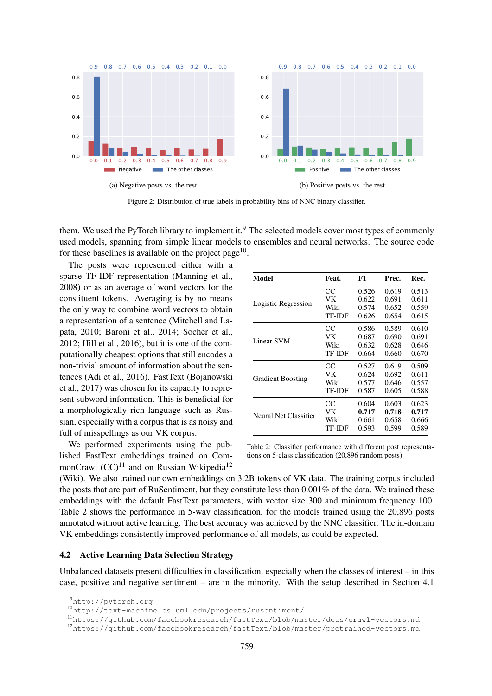

Figure 2: Distribution of true labels in probability bins of NNC binary classifier.

them. We used the PyTorch library to implement it.<sup>9</sup> The selected models cover most types of commonly used models, spanning from simple linear models to ensembles and neural networks. The source code for these baselines is available on the project page<sup>10</sup>.

The posts were represented either with a sparse TF-IDF representation (Manning et al., 2008) or as an average of word vectors for the constituent tokens. Averaging is by no means the only way to combine word vectors to obtain a representation of a sentence (Mitchell and Lapata, 2010; Baroni et al., 2014; Socher et al., 2012; Hill et al., 2016), but it is one of the computationally cheapest options that still encodes a non-trivial amount of information about the sentences (Adi et al., 2016). FastText (Bojanowski et al., 2017) was chosen for its capacity to represent subword information. This is beneficial for a morphologically rich language such as Russian, especially with a corpus that is as noisy and full of misspellings as our VK corpus.

We performed experiments using the published FastText embeddings trained on CommonCrawl  $(CC)^{11}$  and on Russian Wikipedia<sup>12</sup>

| Model                    | Feat.         | F1                                                 | Prec. | Rec.  |
|--------------------------|---------------|----------------------------------------------------|-------|-------|
|                          | CC            | 0.526                                              | 0.619 | 0.513 |
|                          | VK            | 0.622                                              | 0.691 | 0.611 |
| Logistic Regression      | Wiki          | 0.574                                              | 0.652 | 0.559 |
|                          | <b>TF-IDF</b> | 0.626                                              | 0.654 | 0.615 |
|                          | CC            | 0.586                                              | 0.589 | 0.610 |
|                          | VK.           | 0.687                                              | 0.690 | 0.691 |
| Linear SVM               | Wiki          | 0.632                                              | 0.628 | 0.646 |
|                          | <b>TF-IDF</b> | 0.664                                              | 0.660 | 0.670 |
|                          | CC            | 0.527<br>0.624<br>0.577<br>0.587<br>0.604<br>0.717 | 0.619 | 0.509 |
|                          | VК            |                                                    | 0.692 | 0.611 |
| <b>Gradient Boosting</b> | Wiki          |                                                    | 0.646 | 0.557 |
|                          | <b>TF-IDF</b> |                                                    | 0.605 | 0.588 |
|                          | CC            |                                                    | 0.603 | 0.623 |
| Neural Net Classifier    | VK            |                                                    | 0.718 | 0.717 |
|                          | Wiki          | 0.661                                              | 0.658 | 0.666 |
|                          | TF-IDF        | 0.593                                              | 0.599 | 0.589 |

Table 2: Classifier performance with different post representations on 5-class classification (20,896 random posts).

(Wiki). We also trained our own embeddings on 3.2B tokens of VK data. The training corpus included the posts that are part of RuSentiment, but they constitute less than 0.001% of the data. We trained these embeddings with the default FastText parameters, with vector size 300 and minimum frequency 100. Table 2 shows the performance in 5-way classification, for the models trained using the 20,896 posts annotated without active learning. The best accuracy was achieved by the NNC classifier. The in-domain VK embeddings consistently improved performance of all models, as could be expected.

### 4.2 Active Learning Data Selection Strategy

Unbalanced datasets present difficulties in classification, especially when the classes of interest – in this case, positive and negative sentiment – are in the minority. With the setup described in Section 4.1

<sup>12</sup>https://github.com/facebookresearch/fastText/blob/master/pretrained-vectors.md

<sup>9</sup>http://pytorch.org

<sup>10</sup>http://text-machine.cs.uml.edu/projects/rusentiment/

<sup>11</sup>https://github.com/facebookresearch/fastText/blob/master/docs/crawl-vectors.md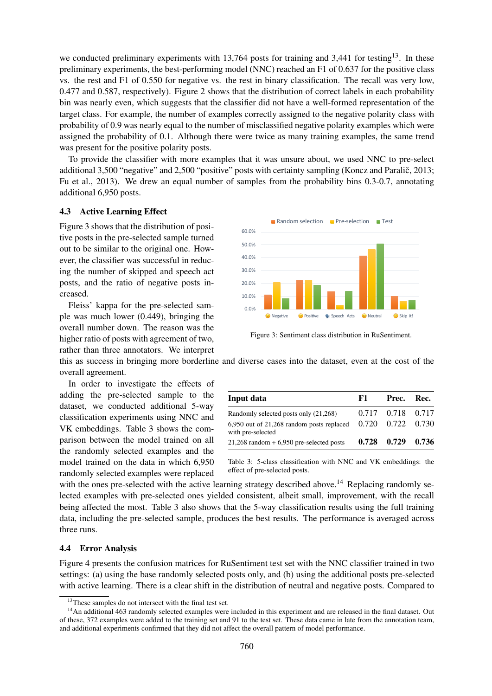we conducted preliminary experiments with 13,764 posts for training and 3,441 for testing<sup>13</sup>. In these preliminary experiments, the best-performing model (NNC) reached an F1 of 0.637 for the positive class vs. the rest and F1 of 0.550 for negative vs. the rest in binary classification. The recall was very low, 0.477 and 0.587, respectively). Figure 2 shows that the distribution of correct labels in each probability bin was nearly even, which suggests that the classifier did not have a well-formed representation of the target class. For example, the number of examples correctly assigned to the negative polarity class with probability of 0.9 was nearly equal to the number of misclassified negative polarity examples which were assigned the probability of 0.1. Although there were twice as many training examples, the same trend was present for the positive polarity posts.

To provide the classifier with more examples that it was unsure about, we used NNC to pre-select additional 3,500 "negative" and 2,500 "positive" posts with certainty sampling (Koncz and Paralič, 2013; Fu et al., 2013). We drew an equal number of samples from the probability bins 0.3-0.7, annotating additional 6,950 posts.

### 4.3 Active Learning Effect

Figure 3 shows that the distribution of positive posts in the pre-selected sample turned out to be similar to the original one. However, the classifier was successful in reducing the number of skipped and speech act posts, and the ratio of negative posts increased.

Fleiss' kappa for the pre-selected sample was much lower (0.449), bringing the overall number down. The reason was the higher ratio of posts with agreement of two, rather than three annotators. We interpret



Figure 3: Sentiment class distribution in RuSentiment.

this as success in bringing more borderline and diverse cases into the dataset, even at the cost of the overall agreement.

In order to investigate the effects of adding the pre-selected sample to the dataset, we conducted additional 5-way classification experiments using NNC and VK embeddings. Table 3 shows the comparison between the model trained on all the randomly selected examples and the model trained on the data in which 6,950 randomly selected examples were replaced

| Input data                                                                         | F1.   | Prec.                                        | Rec.  |
|------------------------------------------------------------------------------------|-------|----------------------------------------------|-------|
| Randomly selected posts only (21,268)<br>6,950 out of 21,268 random posts replaced |       | 0.717 0.718 0.717<br>$0.720$ $0.722$ $0.730$ |       |
| with pre-selected<br>$21,268$ random $+ 6,950$ pre-selected posts                  | 0.728 | 0.729                                        | 0.736 |

Table 3: 5-class classification with NNC and VK embeddings: the effect of pre-selected posts.

with the ones pre-selected with the active learning strategy described above.<sup>14</sup> Replacing randomly selected examples with pre-selected ones yielded consistent, albeit small, improvement, with the recall being affected the most. Table 3 also shows that the 5-way classification results using the full training data, including the pre-selected sample, produces the best results. The performance is averaged across three runs.

### 4.4 Error Analysis

Figure 4 presents the confusion matrices for RuSentiment test set with the NNC classifier trained in two settings: (a) using the base randomly selected posts only, and (b) using the additional posts pre-selected with active learning. There is a clear shift in the distribution of neutral and negative posts. Compared to

<sup>&</sup>lt;sup>13</sup>These samples do not intersect with the final test set.

<sup>&</sup>lt;sup>14</sup>An additional 463 randomly selected examples were included in this experiment and are released in the final dataset. Out of these, 372 examples were added to the training set and 91 to the test set. These data came in late from the annotation team, and additional experiments confirmed that they did not affect the overall pattern of model performance.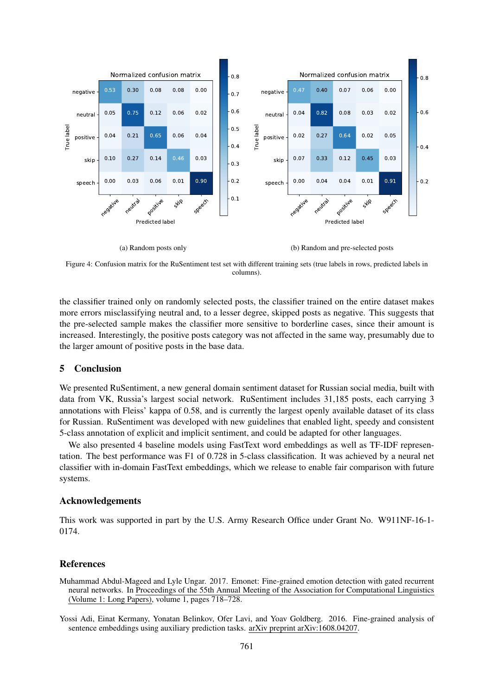

(a) Random posts only

(b) Random and pre-selected posts

Figure 4: Confusion matrix for the RuSentiment test set with different training sets (true labels in rows, predicted labels in columns).

Figure 3.1 and 1.4 and 1.9 and 1.9 and 1.9 and 1.1 and 1.1 and 1.1 and 1.1 and 1.1 and 1.1 and 1.1 and 1.1 and 1.1 and 1.1 and 1.1 and 1.1 and 1.1 and 1.1 and 1.1 and 1.1 and 1.1 and 1.1 and 1.1 and 1.1 and 1.1 and 1.1 an the classifier trained only on randomly selected posts, the classifier trained on the entire dataset makes more errors misclassifying neutral and, to a lesser degree, skipped posts as negative. This suggests that the pre-selected sample makes the classifier more sensitive to borderline cases, since their amount is increased. Interestingly, the positive posts category was not affected in the same way, presumably due to the larger amount of positive posts in the base data.

# 5 Conclusion

We presented RuSentiment, a new general domain sentiment dataset for Russian social media, built with data from VK, Russia's largest social network. RuSentiment includes 31,185 posts, each carrying 3 annotations with Fleiss' kappa of 0.58, and is currently the largest openly available dataset of its class for Russian. RuSentiment was developed with new guidelines that enabled light, speedy and consistent 5-class annotation of explicit and implicit sentiment, and could be adapted for other languages.

We also presented 4 baseline models using FastText word embeddings as well as TF-IDF representation. The best performance was F1 of 0.728 in 5-class classification. It was achieved by a neural net classifier with in-domain FastText embeddings, which we release to enable fair comparison with future systems.

### Acknowledgements

This work was supported in part by the U.S. Army Research Office under Grant No. W911NF-16-1- 0174.

### References

Muhammad Abdul-Mageed and Lyle Ungar. 2017. Emonet: Fine-grained emotion detection with gated recurrent neural networks. In Proceedings of the 55th Annual Meeting of the Association for Computational Linguistics (Volume 1: Long Papers), volume 1, pages 718–728.

Yossi Adi, Einat Kermany, Yonatan Belinkov, Ofer Lavi, and Yoav Goldberg. 2016. Fine-grained analysis of sentence embeddings using auxiliary prediction tasks. arXiv preprint arXiv:1608.04207.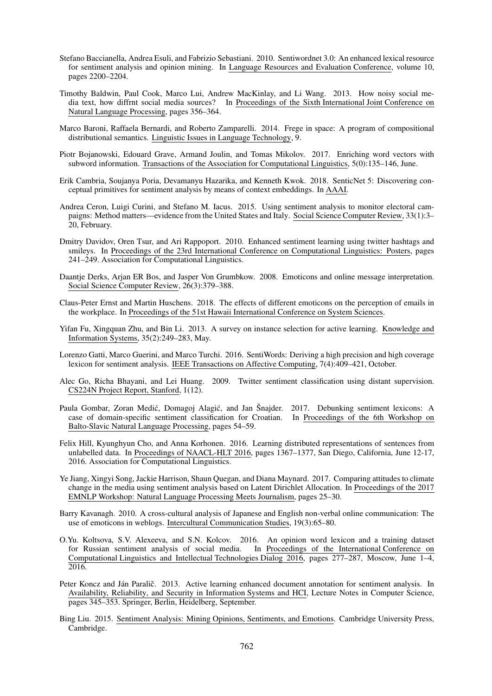- Stefano Baccianella, Andrea Esuli, and Fabrizio Sebastiani. 2010. Sentiwordnet 3.0: An enhanced lexical resource for sentiment analysis and opinion mining. In Language Resources and Evaluation Conference, volume 10, pages 2200–2204.
- Timothy Baldwin, Paul Cook, Marco Lui, Andrew MacKinlay, and Li Wang. 2013. How noisy social media text, how diffrnt social media sources? In Proceedings of the Sixth International Joint Conference on Natural Language Processing, pages 356–364.
- Marco Baroni, Raffaela Bernardi, and Roberto Zamparelli. 2014. Frege in space: A program of compositional distributional semantics. Linguistic Issues in Language Technology, 9.
- Piotr Bojanowski, Edouard Grave, Armand Joulin, and Tomas Mikolov. 2017. Enriching word vectors with subword information. Transactions of the Association for Computational Linguistics, 5(0):135–146, June.
- Erik Cambria, Soujanya Poria, Devamanyu Hazarika, and Kenneth Kwok. 2018. SenticNet 5: Discovering conceptual primitives for sentiment analysis by means of context embeddings. In AAAI.
- Andrea Ceron, Luigi Curini, and Stefano M. Iacus. 2015. Using sentiment analysis to monitor electoral campaigns: Method matters—evidence from the United States and Italy. Social Science Computer Review, 33(1):3– 20, February.
- Dmitry Davidov, Oren Tsur, and Ari Rappoport. 2010. Enhanced sentiment learning using twitter hashtags and smileys. In Proceedings of the 23rd International Conference on Computational Linguistics: Posters, pages 241–249. Association for Computational Linguistics.
- Daantje Derks, Arjan ER Bos, and Jasper Von Grumbkow. 2008. Emoticons and online message interpretation. Social Science Computer Review, 26(3):379–388.
- Claus-Peter Ernst and Martin Huschens. 2018. The effects of different emoticons on the perception of emails in the workplace. In Proceedings of the 51st Hawaii International Conference on System Sciences.
- Yifan Fu, Xingquan Zhu, and Bin Li. 2013. A survey on instance selection for active learning. Knowledge and Information Systems, 35(2):249–283, May.
- Lorenzo Gatti, Marco Guerini, and Marco Turchi. 2016. SentiWords: Deriving a high precision and high coverage lexicon for sentiment analysis. IEEE Transactions on Affective Computing, 7(4):409–421, October.
- Alec Go, Richa Bhayani, and Lei Huang. 2009. Twitter sentiment classification using distant supervision. CS224N Project Report, Stanford, 1(12).
- Paula Gombar, Zoran Medić, Domagoj Alagić, and Jan Šnajder. 2017. Debunking sentiment lexicons: A case of domain-specific sentiment classification for Croatian. In Proceedings of the 6th Workshop on Balto-Slavic Natural Language Processing, pages 54–59.
- Felix Hill, Kyunghyun Cho, and Anna Korhonen. 2016. Learning distributed representations of sentences from unlabelled data. In Proceedings of NAACL-HLT 2016, pages 1367–1377, San Diego, California, June 12-17, 2016. Association for Computational Linguistics.
- Ye Jiang, Xingyi Song, Jackie Harrison, Shaun Quegan, and Diana Maynard. 2017. Comparing attitudes to climate change in the media using sentiment analysis based on Latent Dirichlet Allocation. In Proceedings of the 2017 EMNLP Workshop: Natural Language Processing Meets Journalism, pages 25–30.
- Barry Kavanagh. 2010. A cross-cultural analysis of Japanese and English non-verbal online communication: The use of emoticons in weblogs. Intercultural Communication Studies, 19(3):65–80.
- O.Yu. Koltsova, S.V. Alexeeva, and S.N. Kolcov. 2016. An opinion word lexicon and a training dataset for Russian sentiment analysis of social media. In Proceedings of the International Conference on Computational Linguistics and Intellectual Technologies Dialog 2016, pages 277–287, Moscow, June 1–4,  $\overline{201}6.$
- Peter Koncz and Ján Paralič. 2013. Active learning enhanced document annotation for sentiment analysis. In Availability, Reliability, and Security in Information Systems and HCI, Lecture Notes in Computer Science, pages 345–353. Springer, Berlin, Heidelberg, September.
- Bing Liu. 2015. Sentiment Analysis: Mining Opinions, Sentiments, and Emotions. Cambridge University Press, Cambridge.